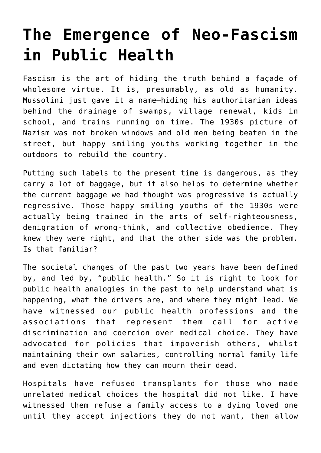## **[The Emergence of Neo-Fascism](https://intellectualtakeout.org/2022/06/the-emergence-of-neo-fascism-in-public-health/) [in Public Health](https://intellectualtakeout.org/2022/06/the-emergence-of-neo-fascism-in-public-health/)**

Fascism is the art of hiding the truth behind a façade of wholesome virtue. It is, presumably, as old as humanity. Mussolini just gave it a name—hiding his authoritarian ideas behind the drainage of swamps, village renewal, kids in school, and trains running on time. The 1930s picture of Nazism was not broken windows and old men being beaten in the street, but happy smiling youths working together in the outdoors to rebuild the country.

Putting such labels to the present time is dangerous, as they carry a lot of baggage, but it also helps to determine whether the current baggage we had thought was progressive is actually regressive. Those happy smiling youths of the 1930s were actually being trained in the arts of self-righteousness, denigration of wrong-think, and collective obedience. They knew they were right, and that the other side was the problem. Is that familiar?

The societal changes of the past two years have been defined by, and led by, "public health." So it is right to look for public health analogies in the past to help understand what is happening, what the drivers are, and where they might lead. We have witnessed our public health professions and the associations that represent them call for active discrimination and coercion over medical choice. They have advocated for policies that impoverish others, whilst maintaining their own salaries, controlling normal family life and even dictating how they can mourn their dead.

Hospitals have refused transplants for those who made unrelated medical choices the hospital did not like. I have witnessed them refuse a family access to a dying loved one until they accept injections they do not want, then allow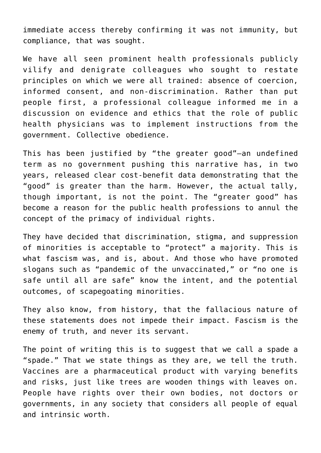immediate access thereby confirming it was not immunity, but compliance, that was sought.

We have all seen prominent health professionals publicly vilify and denigrate colleagues who sought to restate principles on which we were all trained: absence of coercion, informed consent, and non-discrimination. Rather than put people first, a professional colleague informed me in a discussion on evidence and ethics that the role of public health physicians was to implement instructions from the government. Collective obedience.

This has been justified by "the greater good"—an undefined term as no government pushing this narrative has, in two years, released clear cost-benefit data demonstrating that the "good" is greater than the harm. However, the actual tally, though important, is not the point. The "greater good" has become a reason for the public health professions to annul the concept of the primacy of individual rights.

They have decided that discrimination, stigma, and suppression of minorities is acceptable to "protect" a majority. This is what fascism was, and is, about. And those who have promoted slogans such as "pandemic of the unvaccinated," or "no one is safe until all are safe" know the intent, and the potential outcomes, of scapegoating minorities.

They also know, from history, that the fallacious nature of these statements does not impede their impact. Fascism is the enemy of truth, and never its servant.

The point of writing this is to suggest that we call a spade a "spade." That we state things as they are, we tell the truth. Vaccines are a pharmaceutical product with varying benefits and risks, just like trees are wooden things with leaves on. People have rights over their own bodies, not doctors or governments, in any society that considers all people of equal and intrinsic worth.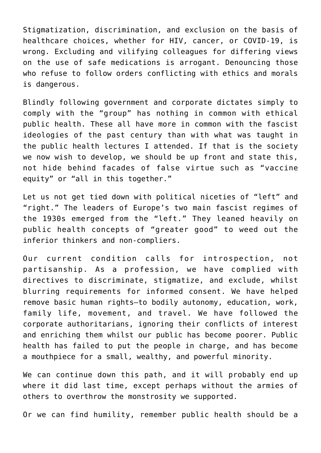Stigmatization, discrimination, and exclusion on the basis of healthcare choices, whether for HIV, cancer, or COVID-19, is wrong. Excluding and vilifying colleagues for differing views on the use of safe medications is arrogant. Denouncing those who refuse to follow orders conflicting with ethics and morals is dangerous.

Blindly following government and corporate dictates simply to comply with the "group" has nothing in common with ethical public health. These all have more in common with the fascist ideologies of the past century than with what was taught in the public health lectures I attended. If that is the society we now wish to develop, we should be up front and state this, not hide behind facades of false virtue such as "vaccine equity" or "all in this together."

Let us not get tied down with political niceties of "left" and "right." The leaders of Europe's two main fascist regimes of the 1930s emerged from the "left." They leaned heavily on public health concepts of "greater good" to weed out the inferior thinkers and non-compliers.

Our current condition calls for introspection, not partisanship. As a profession, we have complied with directives to discriminate, stigmatize, and exclude, whilst blurring requirements for informed consent. We have helped remove basic human rights—to bodily autonomy, education, work, family life, movement, and travel. We have followed the corporate authoritarians, ignoring their conflicts of interest and enriching them whilst our public has become poorer. Public health has failed to put the people in charge, and has become a mouthpiece for a small, wealthy, and powerful minority.

We can continue down this path, and it will probably end up where it did last time, except perhaps without the armies of others to overthrow the monstrosity we supported.

Or we can find humility, remember public health should be a